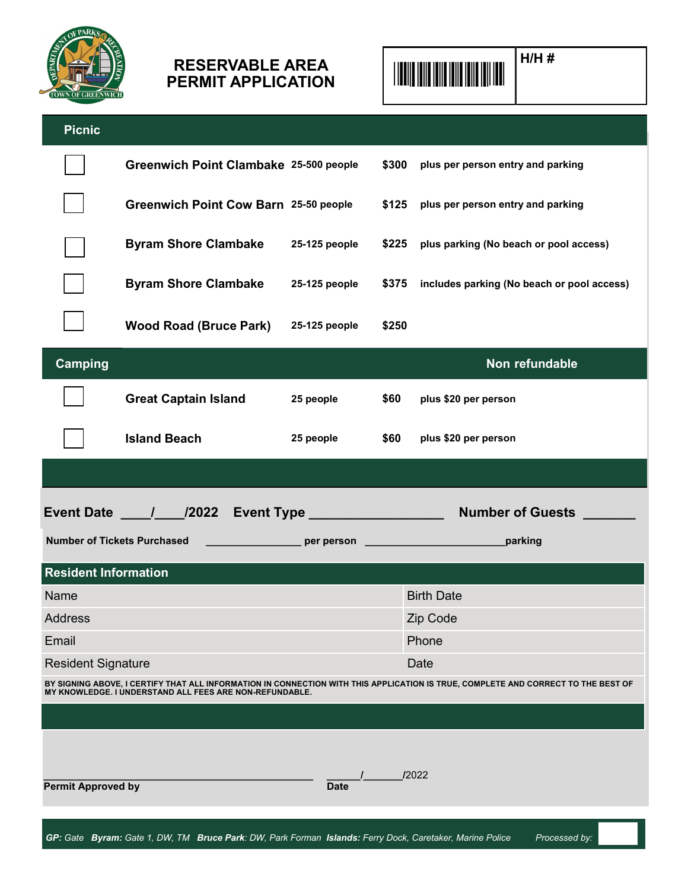

## **H/H #** \*99999\* **RESERVABLE AREA PERMIT APPLICATION**



| <b>Picnic</b>                      |                                                         |               |       |                                                                                                                                   |
|------------------------------------|---------------------------------------------------------|---------------|-------|-----------------------------------------------------------------------------------------------------------------------------------|
|                                    | Greenwich Point Clambake 25-500 people                  |               | \$300 | plus per person entry and parking                                                                                                 |
|                                    | Greenwich Point Cow Barn 25-50 people                   |               | \$125 | plus per person entry and parking                                                                                                 |
|                                    | <b>Byram Shore Clambake</b>                             | 25-125 people | \$225 | plus parking (No beach or pool access)                                                                                            |
|                                    | <b>Byram Shore Clambake</b>                             | 25-125 people | \$375 | includes parking (No beach or pool access)                                                                                        |
|                                    | <b>Wood Road (Bruce Park)</b>                           | 25-125 people | \$250 |                                                                                                                                   |
| <b>Camping</b>                     |                                                         |               |       | Non refundable                                                                                                                    |
|                                    | <b>Great Captain Island</b>                             | 25 people     | \$60  | plus \$20 per person                                                                                                              |
|                                    | <b>Island Beach</b>                                     | 25 people     | \$60  | plus \$20 per person                                                                                                              |
|                                    |                                                         |               |       |                                                                                                                                   |
|                                    |                                                         |               |       |                                                                                                                                   |
|                                    |                                                         |               |       |                                                                                                                                   |
| <b>Number of Tickets Purchased</b> |                                                         |               |       |                                                                                                                                   |
| <b>Resident Information</b>        |                                                         |               |       |                                                                                                                                   |
| Name                               |                                                         |               |       | <b>Birth Date</b>                                                                                                                 |
| <b>Address</b>                     |                                                         |               |       | Zip Code                                                                                                                          |
| Email                              |                                                         |               |       | Phone                                                                                                                             |
| <b>Resident Signature</b>          |                                                         |               |       | Date                                                                                                                              |
|                                    | MY KNOWLEDGE. I UNDERSTAND ALL FEES ARE NON-REFUNDABLE. |               |       | BY SIGNING ABOVE, I CERTIFY THAT ALL INFORMATION IN CONNECTION WITH THIS APPLICATION IS TRUE, COMPLETE AND CORRECT TO THE BEST OF |
|                                    |                                                         |               |       |                                                                                                                                   |
|                                    |                                                         |               |       |                                                                                                                                   |
|                                    |                                                         |               |       |                                                                                                                                   |
| <b>Permit Approved by</b>          |                                                         | <b>Date</b>   |       | /2022                                                                                                                             |
|                                    |                                                         |               |       |                                                                                                                                   |